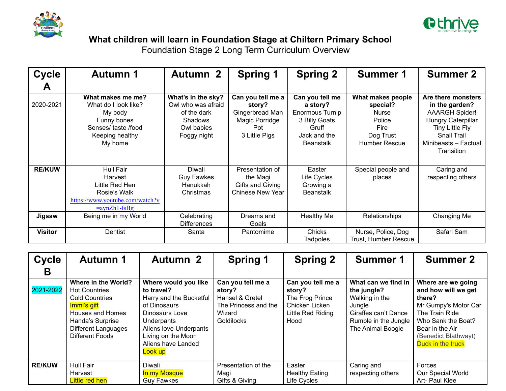



## **What children will learn in Foundation Stage at Chiltern Primary School**

Foundation Stage 2 Long Term Curriculum Overview

| <b>Cycle</b>   | <b>Autumn 1</b>                                                                                                         | <b>Autumn 2</b>                                                                                        | <b>Spring 1</b>                                                                          | <b>Spring 2</b>                                                                                              | <b>Summer 1</b>                                                                               | <b>Summer 2</b>                                                                                                                                             |
|----------------|-------------------------------------------------------------------------------------------------------------------------|--------------------------------------------------------------------------------------------------------|------------------------------------------------------------------------------------------|--------------------------------------------------------------------------------------------------------------|-----------------------------------------------------------------------------------------------|-------------------------------------------------------------------------------------------------------------------------------------------------------------|
| A              |                                                                                                                         |                                                                                                        |                                                                                          |                                                                                                              |                                                                                               |                                                                                                                                                             |
| 2020-2021      | What makes me me?<br>What do I look like?<br>My body<br>Funny bones<br>Senses/ taste/food<br>Keeping healthy<br>My home | What's in the sky?<br>Owl who was afraid<br>of the dark<br><b>Shadows</b><br>Owl babies<br>Foggy night | Can you tell me a<br>story?<br>Gingerbread Man<br>Magic Porridge<br>Pot<br>3 Little Pigs | Can you tell me<br>a story?<br>Enormous Turnip<br>3 Billy Goats<br>Gruff<br>Jack and the<br><b>Beanstalk</b> | What makes people<br>special?<br>Nurse<br>Police<br>Fire<br>Dog Trust<br><b>Humber Rescue</b> | Are there monsters<br>in the garden?<br><b>AAARGH Spider!</b><br>Hungry Caterpillar<br>Tiny Little Fly<br>Snail Trail<br>Minibeasts - Factual<br>Transition |
| <b>RE/KUW</b>  | Hull Fair<br>Harvest<br>Little Red Hen<br>Rosie's Walk<br>https://www.youtube.com/watch?v<br>$=aynZh1-fsBg$             | Diwali<br><b>Guy Fawkes</b><br>Hanukkah<br>Christmas                                                   | Presentation of<br>the Magi<br>Gifts and Giving<br><b>Chinese New Year</b>               | Easter<br>Life Cycles<br>Growing a<br><b>Beanstalk</b>                                                       | Special people and<br>places                                                                  | Caring and<br>respecting others                                                                                                                             |
| Jigsaw         | Being me in my World                                                                                                    | Celebrating<br><b>Differences</b>                                                                      | Dreams and<br>Goals                                                                      | <b>Healthy Me</b>                                                                                            | Relationships                                                                                 | Changing Me                                                                                                                                                 |
| <b>Visitor</b> | Dentist                                                                                                                 | Santa                                                                                                  | Pantomime                                                                                | Chicks<br><b>Tadpoles</b>                                                                                    | Nurse, Police, Dog<br>Trust, Humber Rescue                                                    | Safari Sam                                                                                                                                                  |

| <b>Cycle</b>  | <b>Autumn 1</b>                                                                                                                                                                     | <b>Autumn 2</b>                                                                                                                                                                                | <b>Spring 1</b>                                                                                       | <b>Spring 2</b>                                                                               | <b>Summer 1</b>                                                                                                                     | <b>Summer 2</b>                                                                                                                                                                     |
|---------------|-------------------------------------------------------------------------------------------------------------------------------------------------------------------------------------|------------------------------------------------------------------------------------------------------------------------------------------------------------------------------------------------|-------------------------------------------------------------------------------------------------------|-----------------------------------------------------------------------------------------------|-------------------------------------------------------------------------------------------------------------------------------------|-------------------------------------------------------------------------------------------------------------------------------------------------------------------------------------|
| B             |                                                                                                                                                                                     |                                                                                                                                                                                                |                                                                                                       |                                                                                               |                                                                                                                                     |                                                                                                                                                                                     |
| 2021-2022     | Where in the World?<br><b>Hot Countries</b><br><b>Cold Countries</b><br>Immi's gift<br>Houses and Homes<br>Handa's Surprise<br><b>Different Languages</b><br><b>Different Foods</b> | Where would you like<br>to travel?<br>Harry and the Bucketful<br>of Dinosaurs<br>Dinosaurs Love<br>Underpants<br>Aliens love Underpants<br>Living on the Moon<br>Aliens have Landed<br>Look up | Can you tell me a<br>story?<br>Hansel & Gretel<br>The Princess and the<br>Wizard<br><b>Goldilocks</b> | Can you tell me a<br>story?<br>The Frog Prince<br>Chicken Licken<br>Little Red Riding<br>Hood | What can we find in<br>the jungle?<br>Walking in the<br>Jungle<br>Giraffes can't Dance<br>Rumble in the Jungle<br>The Animal Boogie | Where are we going<br>and how will we get<br>there?<br>Mr Gumpy's Motor Car<br>The Train Ride<br>Who Sank the Boat?<br>Bear in the Air<br>(Benedict Blathwayt)<br>Duck in the truck |
| <b>RE/KUW</b> | Hull Fair<br>Harvest<br>Little red hen                                                                                                                                              | Diwali<br>In my Mosque<br><b>Guy Fawkes</b>                                                                                                                                                    | Presentation of the<br>Magi<br>Gifts & Giving.                                                        | Easter<br><b>Healthy Eating</b><br>Life Cycles                                                | Caring and<br>respecting others                                                                                                     | Forces<br>Our Special World<br>Art- Paul Klee                                                                                                                                       |